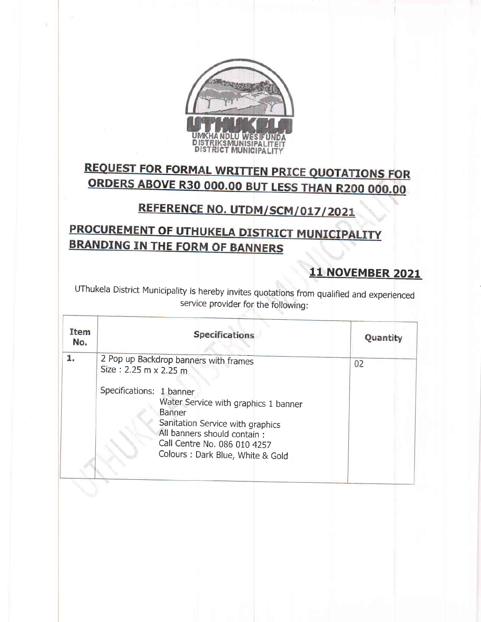

# **REQUEST FOR FORMAL WRITTEN PRICE QUOTATIONS FOR** ORDERS ABOVE R30 000.00 BUT LESS THAN R200 000.00

## REFERENCE NO. UTDM/SCM/017/2021

## PROCUREMENT OF UTHUKELA DISTRICT MUNICIPALITY **BRANDING IN THE FORM OF BANNERS**

#### **11 NOVEMBER 2021**

UThukela District Municipality is hereby invites quotations from qualified and experienced service provider for the following:

| Item<br><b>Specifications</b><br>No.                                                                                                                                                                                                                                                              | Quantity |
|---------------------------------------------------------------------------------------------------------------------------------------------------------------------------------------------------------------------------------------------------------------------------------------------------|----------|
| 1.<br>2 Pop up Backdrop banners with frames<br>Size: 2.25 m x 2.25 m<br>Specifications: 1 banner<br>Water Service with graphics 1 banner<br><b>Banner</b><br>Sanitation Service with graphics<br>All banners should contain :<br>Call Centre No. 086 010 4257<br>Colours: Dark Blue, White & Gold | 02       |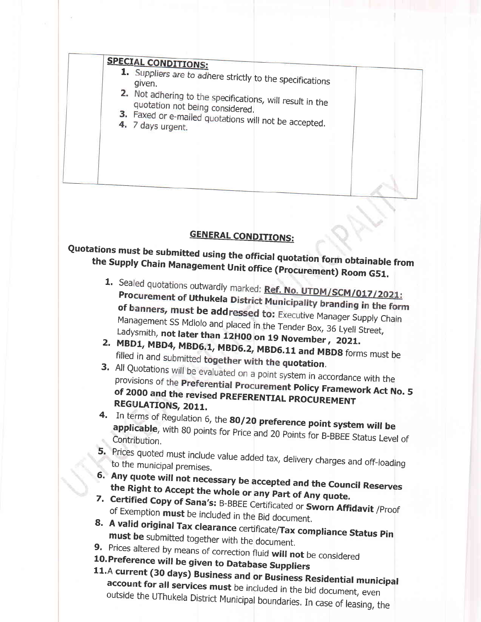### **SPECIAL CONDITIONS:**

- 1. Suppliers are to adhere strictly to the specifications
- 2. Not adhering to the specifications, will result in the quotation not being considered.
- 3. Faxed or e-mailed quotations will not be accepted.
- 4. 7 days urgent.

#### **GENERAL CONDITIONS:**

# Quotations must be submitted using the official quotation form obtainable from the Supply Chain Management Unit office (Procurement) Room G51.

- 1. Sealed quotations outwardly marked: Ref. No. UTDM/SCM/017/2021: Procurement of Uthukela District Municipality branding in the form of banners, must be addressed to: Executive Manager Supply Chain Management SS Mdlolo and placed in the Tender Box, 36 Lyell Street, Ladysmith, not later than 12H00 on 19 November, 2021.
- 2. MBD1, MBD4, MBD6.1, MBD6.2, MBD6.11 and MBD8 forms must be filled in and submitted together with the quotation.
- 3. All Quotations will be evaluated on a point system in accordance with the provisions of the Preferential Procurement Policy Framework Act No. 5 of 2000 and the revised PREFERENTIAL PROCUREMENT REGULATIONS, 2011.
- 4. In terms of Regulation 6, the 80/20 preference point system will be applicable, with 80 points for Price and 20 Points for B-BBEE Status Level of Contribution.
- 5. Prices quoted must include value added tax, delivery charges and off-loading to the municipal premises.
- 6. Any quote will not necessary be accepted and the Council Reserves the Right to Accept the whole or any Part of Any quote.
- 7. Certified Copy of Sana's: B-BBEE Certificated or Sworn Affidavit /Proof of Exemption must be included in the Bid document.
- 8. A valid original Tax clearance certificate/Tax compliance Status Pin must be submitted together with the document.
- 9. Prices altered by means of correction fluid will not be considered
- 10. Preference will be given to Database Suppliers
- 11.A current (30 days) Business and or Business Residential municipal account for all services must be included in the bid document, even outside the UThukela District Municipal boundaries. In case of leasing, the